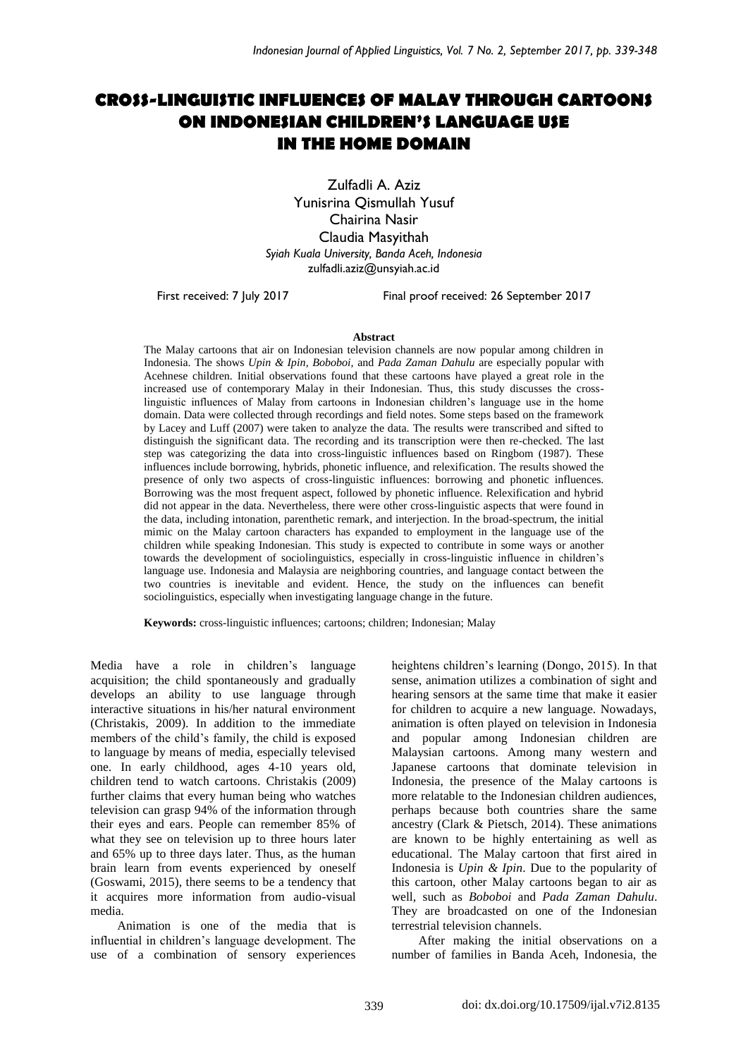# **CROSS-LINGUISTIC INFLUENCES OF MALAY THROUGH CARTOONS ON INDONESIAN CHILDREN'S LANGUAGE USE IN THE HOME DOMAIN**

Zulfadli A. Aziz Yunisrina Qismullah Yusuf Chairina Nasir Claudia Masyithah *Syiah Kuala University, Banda Aceh, Indonesia* [zulfadli.aziz@unsyiah.ac.id](mailto:zulfadli.aziz@unsyiah.ac.id)

First received: 7 July 2017 Final proof received: 26 September 2017

#### **Abstract**

The Malay cartoons that air on Indonesian television channels are now popular among children in Indonesia. The shows *Upin & Ipin, Boboboi,* and *Pada Zaman Dahulu* are especially popular with Acehnese children. Initial observations found that these cartoons have played a great role in the increased use of contemporary Malay in their Indonesian. Thus, this study discusses the crosslinguistic influences of Malay from cartoons in Indonesian children's language use in the home domain. Data were collected through recordings and field notes. Some steps based on the framework by Lacey and Luff (2007) were taken to analyze the data. The results were transcribed and sifted to distinguish the significant data. The recording and its transcription were then re-checked. The last step was categorizing the data into cross-linguistic influences based on Ringbom (1987). These influences include borrowing, hybrids, phonetic influence, and relexification. The results showed the presence of only two aspects of cross-linguistic influences: borrowing and phonetic influences. Borrowing was the most frequent aspect, followed by phonetic influence. Relexification and hybrid did not appear in the data. Nevertheless, there were other cross-linguistic aspects that were found in the data, including intonation, parenthetic remark, and interjection. In the broad-spectrum, the initial mimic on the Malay cartoon characters has expanded to employment in the language use of the children while speaking Indonesian. This study is expected to contribute in some ways or another towards the development of sociolinguistics, especially in cross-linguistic influence in children's language use. Indonesia and Malaysia are neighboring countries, and language contact between the two countries is inevitable and evident. Hence, the study on the influences can benefit sociolinguistics, especially when investigating language change in the future.

**Keywords:** cross-linguistic influences; cartoons; children; Indonesian; Malay

Media have a role in children's language acquisition; the child spontaneously and gradually develops an ability to use language through interactive situations in his/her natural environment (Christakis, 2009). In addition to the immediate members of the child's family, the child is exposed to language by means of media, especially televised one. In early childhood, ages 4-10 years old, children tend to watch cartoons. Christakis (2009) further claims that every human being who watches television can grasp 94% of the information through their eyes and ears. People can remember 85% of what they see on television up to three hours later and 65% up to three days later. Thus, as the human brain learn from events experienced by oneself (Goswami, 2015), there seems to be a tendency that it acquires more information from audio-visual media.

Animation is one of the media that is influential in children's language development. The use of a combination of sensory experiences heightens children's learning (Dongo, 2015). In that sense, animation utilizes a combination of sight and hearing sensors at the same time that make it easier for children to acquire a new language. Nowadays, animation is often played on television in Indonesia and popular among Indonesian children are Malaysian cartoons. Among many western and Japanese cartoons that dominate television in Indonesia, the presence of the Malay cartoons is more relatable to the Indonesian children audiences, perhaps because both countries share the same ancestry (Clark & Pietsch, 2014). These animations are known to be highly entertaining as well as educational. The Malay cartoon that first aired in Indonesia is *Upin & Ipin*. Due to the popularity of this cartoon, other Malay cartoons began to air as well, such as *Boboboi* and *Pada Zaman Dahulu*. They are broadcasted on one of the Indonesian terrestrial television channels.

After making the initial observations on a number of families in Banda Aceh, Indonesia, the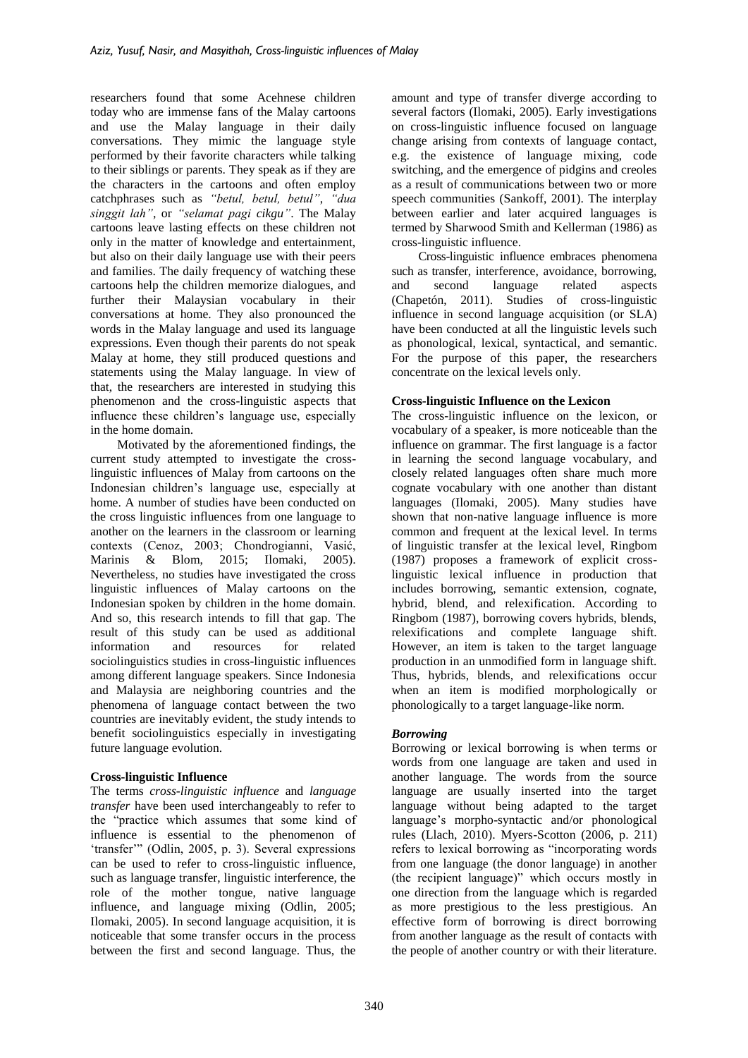researchers found that some Acehnese children today who are immense fans of the Malay cartoons and use the Malay language in their daily conversations. They mimic the language style performed by their favorite characters while talking to their siblings or parents. They speak as if they are the characters in the cartoons and often employ catchphrases such as *"betul, betul, betul"*, *"dua singgit lah"*, or *"selamat pagi cikgu"*. The Malay cartoons leave lasting effects on these children not only in the matter of knowledge and entertainment, but also on their daily language use with their peers and families. The daily frequency of watching these cartoons help the children memorize dialogues, and further their Malaysian vocabulary in their conversations at home. They also pronounced the words in the Malay language and used its language expressions. Even though their parents do not speak Malay at home, they still produced questions and statements using the Malay language. In view of that, the researchers are interested in studying this phenomenon and the cross-linguistic aspects that influence these children's language use, especially in the home domain.

Motivated by the aforementioned findings, the current study attempted to investigate the crosslinguistic influences of Malay from cartoons on the Indonesian children's language use, especially at home. A number of studies have been conducted on the cross linguistic influences from one language to another on the learners in the classroom or learning contexts (Cenoz, 2003; Chondrogianni, Vasić, Marinis & Blom, 2015; Ilomaki, 2005). Nevertheless, no studies have investigated the cross linguistic influences of Malay cartoons on the Indonesian spoken by children in the home domain. And so, this research intends to fill that gap. The result of this study can be used as additional information and resources for related sociolinguistics studies in cross-linguistic influences among different language speakers. Since Indonesia and Malaysia are neighboring countries and the phenomena of language contact between the two countries are inevitably evident, the study intends to benefit sociolinguistics especially in investigating future language evolution.

## **Cross-linguistic Influence**

The terms *cross-linguistic influence* and *language transfer* have been used interchangeably to refer to the "practice which assumes that some kind of influence is essential to the phenomenon of 'transfer'" (Odlin, 2005, p. 3). Several expressions can be used to refer to cross-linguistic influence, such as language transfer, linguistic interference, the role of the mother tongue, native language influence, and language mixing (Odlin, 2005; Ilomaki, 2005). In second language acquisition, it is noticeable that some transfer occurs in the process between the first and second language. Thus, the

amount and type of transfer diverge according to several factors (Ilomaki, 2005). Early investigations on cross-linguistic influence focused on language change arising from contexts of language contact, e.g. the existence of language mixing, code switching, and the emergence of pidgins and creoles as a result of communications between two or more speech communities (Sankoff, 2001). The interplay between earlier and later acquired languages is termed by Sharwood Smith and Kellerman (1986) as cross-linguistic influence.

Cross-linguistic influence embraces phenomena such as transfer, interference, avoidance, borrowing, and second language related aspects (Chapetón, 2011). Studies of cross-linguistic influence in second language acquisition (or SLA) have been conducted at all the linguistic levels such as phonological, lexical, syntactical, and semantic. For the purpose of this paper, the researchers concentrate on the lexical levels only.

### **Cross-linguistic Influence on the Lexicon**

The cross-linguistic influence on the lexicon, or vocabulary of a speaker, is more noticeable than the influence on grammar. The first language is a factor in learning the second language vocabulary, and closely related languages often share much more cognate vocabulary with one another than distant languages (Ilomaki, 2005). Many studies have shown that non-native language influence is more common and frequent at the lexical level. In terms of linguistic transfer at the lexical level, Ringbom (1987) proposes a framework of explicit crosslinguistic lexical influence in production that includes borrowing, semantic extension, cognate, hybrid, blend, and relexification. According to Ringbom (1987), borrowing covers hybrids, blends, relexifications and complete language shift. However, an item is taken to the target language production in an unmodified form in language shift. Thus, hybrids, blends, and relexifications occur when an item is modified morphologically or phonologically to a target language-like norm.

## *Borrowing*

Borrowing or lexical borrowing is when terms or words from one language are taken and used in another language. The words from the source language are usually inserted into the target language without being adapted to the target language's morpho-syntactic and/or phonological rules (Llach, 2010). Myers-Scotton (2006, p. 211) refers to lexical borrowing as "incorporating words from one language (the donor language) in another (the recipient language)" which occurs mostly in one direction from the language which is regarded as more prestigious to the less prestigious. An effective form of borrowing is direct borrowing from another language as the result of contacts with the people of another country or with their literature.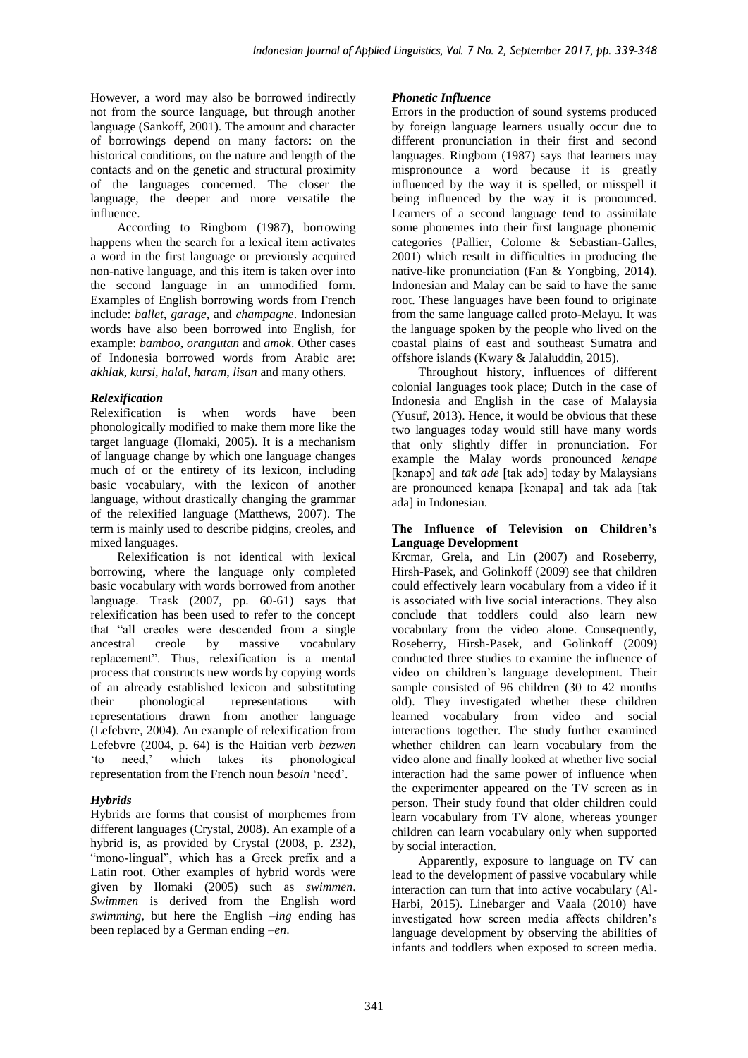However, a word may also be borrowed indirectly not from the source language, but through another language (Sankoff, 2001). The amount and character of borrowings depend on many factors: on the historical conditions, on the nature and length of the contacts and on the genetic and structural proximity of the languages concerned. The closer the language, the deeper and more versatile the influence.

According to Ringbom (1987), borrowing happens when the search for a lexical item activates a word in the first language or previously acquired non-native language, and this item is taken over into the second language in an unmodified form. Examples of English borrowing words from French include: *ballet*, *garage*, and *champagne*. Indonesian words have also been borrowed into English, for example: *bamboo*, *orangutan* and *amok*. Other cases of Indonesia borrowed words from Arabic are: *akhlak*, *kursi*, *halal*, *haram*, *lisan* and many others.

## *Relexification*

Relexification is when words have been phonologically modified to make them more like the target language (Ilomaki, 2005). It is a mechanism of language change by which one language changes much of or the entirety of its lexicon, including basic vocabulary, with the lexicon of another language, without drastically changing the grammar of the relexified language (Matthews, 2007). The term is mainly used to describe pidgins, creoles, and mixed languages.

Relexification is not identical with lexical borrowing, where the language only completed basic vocabulary with words borrowed from another language. Trask (2007, pp. 60-61) says that relexification has been used to refer to the concept that "all creoles were descended from a single ancestral creole by massive vocabulary replacement". Thus, relexification is a mental process that constructs new words by copying words of an already established lexicon and substituting their phonological representations with representations drawn from another language (Lefebvre, 2004). An example of relexification from Lefebvre (2004, p. 64) is the Haitian verb *bezwen* 'to need,' which takes its phonological representation from the French noun *besoin* 'need'.

## *Hybrids*

Hybrids are forms that consist of morphemes from different languages (Crystal, 2008). An example of a hybrid is, as provided by Crystal (2008, p. 232), "mono-lingual", which has a Greek prefix and a Latin root. Other examples of hybrid words were given by Ilomaki (2005) such as *swimmen*. *Swimmen* is derived from the English word *swimming,* but here the English *–ing* ending has been replaced by a German ending *–en*.

## *Phonetic Influence*

Errors in the production of sound systems produced by foreign language learners usually occur due to different pronunciation in their first and second languages. Ringbom (1987) says that learners may mispronounce a word because it is greatly influenced by the way it is spelled, or misspell it being influenced by the way it is pronounced. Learners of a second language tend to assimilate some phonemes into their first language phonemic categories (Pallier, Colome & Sebastian-Galles, 2001) which result in difficulties in producing the native-like pronunciation (Fan & Yongbing, 2014). Indonesian and Malay can be said to have the same root. These languages have been found to originate from the same language called proto-Melayu. It was the language spoken by the people who lived on the coastal plains of east and southeast Sumatra and offshore islands (Kwary & Jalaluddin, 2015).

Throughout history, influences of different colonial languages took place; Dutch in the case of Indonesia and English in the case of Malaysia (Yusuf, 2013). Hence, it would be obvious that these two languages today would still have many words that only slightly differ in pronunciation. For example the Malay words pronounced *kenape* [kənapə] and *tak ade* [tak adə] today by Malaysians are pronounced kenapa [kənapa] and tak ada [tak ada] in Indonesian.

### **The Influence of Television on Children's Language Development**

Krcmar, Grela, and Lin (2007) and Roseberry, Hirsh-Pasek, and Golinkoff (2009) see that children could effectively learn vocabulary from a video if it is associated with live social interactions. They also conclude that toddlers could also learn new vocabulary from the video alone. Consequently, Roseberry, Hirsh-Pasek, and Golinkoff (2009) conducted three studies to examine the influence of video on children's language development. Their sample consisted of 96 children (30 to 42 months old). They investigated whether these children learned vocabulary from video and social interactions together. The study further examined whether children can learn vocabulary from the video alone and finally looked at whether live social interaction had the same power of influence when the experimenter appeared on the TV screen as in person. Their study found that older children could learn vocabulary from TV alone, whereas younger children can learn vocabulary only when supported by social interaction.

Apparently, exposure to language on TV can lead to the development of passive vocabulary while interaction can turn that into active vocabulary (Al-Harbi, 2015). Linebarger and Vaala (2010) have investigated how screen media affects children's language development by observing the abilities of infants and toddlers when exposed to screen media.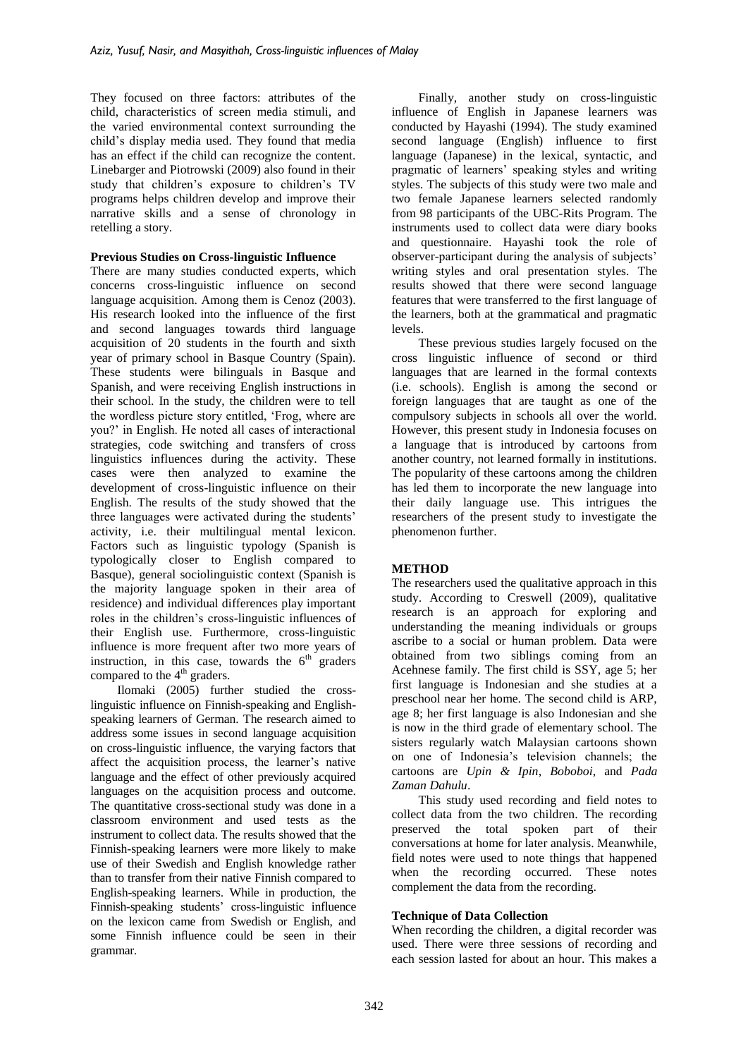They focused on three factors: attributes of the child, characteristics of screen media stimuli, and the varied environmental context surrounding the child's display media used. They found that media has an effect if the child can recognize the content. Linebarger and Piotrowski (2009) also found in their study that children's exposure to children's TV programs helps children develop and improve their narrative skills and a sense of chronology in retelling a story.

### **Previous Studies on Cross-linguistic Influence**

There are many studies conducted experts, which concerns cross-linguistic influence on second language acquisition. Among them is Cenoz (2003). His research looked into the influence of the first and second languages towards third language acquisition of 20 students in the fourth and sixth year of primary school in Basque Country (Spain). These students were bilinguals in Basque and Spanish, and were receiving English instructions in their school. In the study, the children were to tell the wordless picture story entitled, 'Frog, where are you?' in English. He noted all cases of interactional strategies, code switching and transfers of cross linguistics influences during the activity. These cases were then analyzed to examine the development of cross-linguistic influence on their English. The results of the study showed that the three languages were activated during the students' activity, i.e. their multilingual mental lexicon. Factors such as linguistic typology (Spanish is typologically closer to English compared to Basque), general sociolinguistic context (Spanish is the majority language spoken in their area of residence) and individual differences play important roles in the children's cross-linguistic influences of their English use. Furthermore, cross-linguistic influence is more frequent after two more years of instruction, in this case, towards the  $6<sup>th</sup>$  graders compared to the  $4<sup>th</sup>$  graders.

Ilomaki (2005) further studied the crosslinguistic influence on Finnish-speaking and Englishspeaking learners of German. The research aimed to address some issues in second language acquisition on cross-linguistic influence, the varying factors that affect the acquisition process, the learner's native language and the effect of other previously acquired languages on the acquisition process and outcome. The quantitative cross-sectional study was done in a classroom environment and used tests as the instrument to collect data. The results showed that the Finnish-speaking learners were more likely to make use of their Swedish and English knowledge rather than to transfer from their native Finnish compared to English-speaking learners. While in production, the Finnish-speaking students' cross-linguistic influence on the lexicon came from Swedish or English, and some Finnish influence could be seen in their grammar.

Finally, another study on cross-linguistic influence of English in Japanese learners was conducted by Hayashi (1994). The study examined second language (English) influence to first language (Japanese) in the lexical, syntactic, and pragmatic of learners' speaking styles and writing styles. The subjects of this study were two male and two female Japanese learners selected randomly from 98 participants of the UBC-Rits Program. The instruments used to collect data were diary books and questionnaire. Hayashi took the role of observer-participant during the analysis of subjects' writing styles and oral presentation styles. The results showed that there were second language features that were transferred to the first language of the learners, both at the grammatical and pragmatic levels.

These previous studies largely focused on the cross linguistic influence of second or third languages that are learned in the formal contexts (i.e. schools). English is among the second or foreign languages that are taught as one of the compulsory subjects in schools all over the world. However, this present study in Indonesia focuses on a language that is introduced by cartoons from another country, not learned formally in institutions. The popularity of these cartoons among the children has led them to incorporate the new language into their daily language use. This intrigues the researchers of the present study to investigate the phenomenon further.

## **METHOD**

The researchers used the qualitative approach in this study. According to Creswell (2009), qualitative research is an approach for exploring and understanding the meaning individuals or groups ascribe to a social or human problem. Data were obtained from two siblings coming from an Acehnese family. The first child is SSY, age 5; her first language is Indonesian and she studies at a preschool near her home. The second child is ARP, age 8; her first language is also Indonesian and she is now in the third grade of elementary school. The sisters regularly watch Malaysian cartoons shown on one of Indonesia's television channels; the cartoons are *Upin & Ipin*, *Boboboi*, and *Pada Zaman Dahulu*.

This study used recording and field notes to collect data from the two children. The recording preserved the total spoken part of their conversations at home for later analysis. Meanwhile, field notes were used to note things that happened when the recording occurred. These notes complement the data from the recording.

### **Technique of Data Collection**

When recording the children, a digital recorder was used. There were three sessions of recording and each session lasted for about an hour. This makes a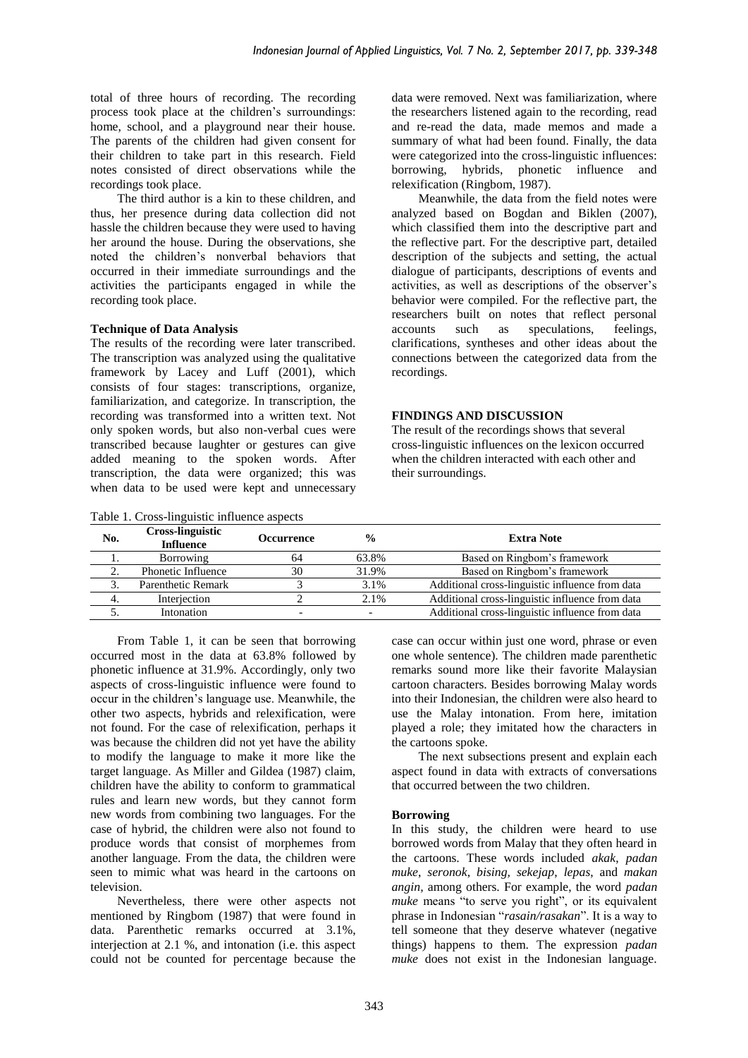total of three hours of recording. The recording process took place at the children's surroundings: home, school, and a playground near their house. The parents of the children had given consent for their children to take part in this research. Field notes consisted of direct observations while the recordings took place.

The third author is a kin to these children, and thus, her presence during data collection did not hassle the children because they were used to having her around the house. During the observations, she noted the children's nonverbal behaviors that occurred in their immediate surroundings and the activities the participants engaged in while the recording took place.

### **Technique of Data Analysis**

The results of the recording were later transcribed. The transcription was analyzed using the qualitative framework by Lacey and Luff (2001), which consists of four stages: transcriptions, organize, familiarization, and categorize. In transcription, the recording was transformed into a written text. Not only spoken words, but also non-verbal cues were transcribed because laughter or gestures can give added meaning to the spoken words. After transcription, the data were organized; this was when data to be used were kept and unnecessary

Table 1. Cross-linguistic influence aspects

data were removed. Next was familiarization, where the researchers listened again to the recording, read and re-read the data, made memos and made a summary of what had been found. Finally, the data were categorized into the cross-linguistic influences: borrowing, hybrids, phonetic influence and relexification (Ringbom, 1987).

Meanwhile, the data from the field notes were analyzed based on Bogdan and Biklen (2007), which classified them into the descriptive part and the reflective part. For the descriptive part, detailed description of the subjects and setting, the actual dialogue of participants, descriptions of events and activities, as well as descriptions of the observer's behavior were compiled. For the reflective part, the researchers built on notes that reflect personal accounts such as speculations, feelings, clarifications, syntheses and other ideas about the connections between the categorized data from the recordings.

### **FINDINGS AND DISCUSSION**

The result of the recordings shows that several cross-linguistic influences on the lexicon occurred when the children interacted with each other and their surroundings.

| No. | <b>Cross-linguistic</b><br><b>Influence</b> | Occurrence | $\frac{0}{0}$ | <b>Extra Note</b>                               |  |  |
|-----|---------------------------------------------|------------|---------------|-------------------------------------------------|--|--|
|     | Borrowing                                   | 64         | 63.8%         | Based on Ringbom's framework                    |  |  |
|     | Phonetic Influence                          | 30         | 31.9%         | Based on Ringbom's framework                    |  |  |
|     | Parenthetic Remark                          |            | 3.1%          | Additional cross-linguistic influence from data |  |  |
|     | Interjection                                |            | 2.1%          | Additional cross-linguistic influence from data |  |  |
|     | Intonation                                  |            |               | Additional cross-linguistic influence from data |  |  |

From Table 1, it can be seen that borrowing occurred most in the data at 63.8% followed by phonetic influence at 31.9%. Accordingly, only two aspects of cross-linguistic influence were found to occur in the children's language use. Meanwhile, the other two aspects, hybrids and relexification, were not found. For the case of relexification, perhaps it was because the children did not yet have the ability to modify the language to make it more like the target language. As Miller and Gildea (1987) claim, children have the ability to conform to grammatical rules and learn new words, but they cannot form new words from combining two languages. For the case of hybrid, the children were also not found to produce words that consist of morphemes from another language. From the data, the children were seen to mimic what was heard in the cartoons on television.

Nevertheless, there were other aspects not mentioned by Ringbom (1987) that were found in data. Parenthetic remarks occurred at 3.1%, interjection at 2.1 %, and intonation (i.e. this aspect could not be counted for percentage because the

case can occur within just one word, phrase or even one whole sentence). The children made parenthetic remarks sound more like their favorite Malaysian cartoon characters. Besides borrowing Malay words into their Indonesian, the children were also heard to use the Malay intonation. From here, imitation played a role; they imitated how the characters in the cartoons spoke.

The next subsections present and explain each aspect found in data with extracts of conversations that occurred between the two children.

### **Borrowing**

In this study, the children were heard to use borrowed words from Malay that they often heard in the cartoons. These words included *akak*, *padan muke*, *seronok*, *bising, sekejap*, *lepas*, and *makan angin,* among others. For example, the word *padan muke* means "to serve you right", or its equivalent phrase in Indonesian "*rasain/rasakan*". It is a way to tell someone that they deserve whatever (negative things) happens to them. The expression *padan muke* does not exist in the Indonesian language.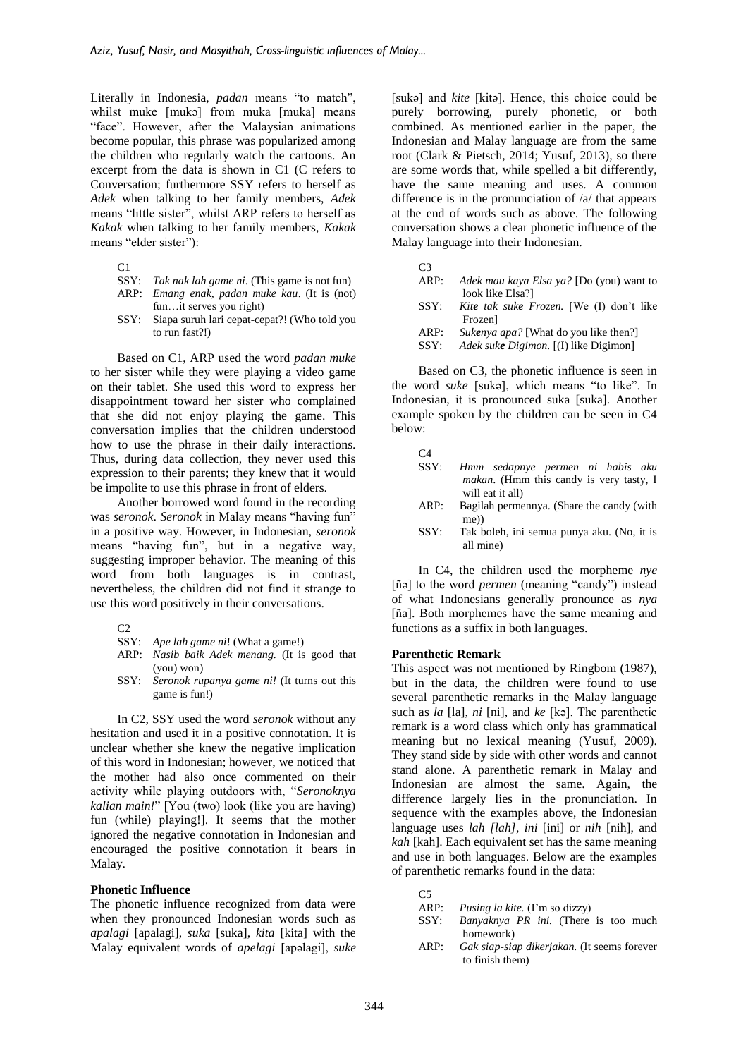Literally in Indonesia, *padan* means "to match", whilst muke [mukə] from muka [muka] means "face". However, after the Malaysian animations become popular, this phrase was popularized among the children who regularly watch the cartoons. An excerpt from the data is shown in C1 (C refers to Conversation; furthermore SSY refers to herself as *Adek* when talking to her family members, *Adek* means "little sister", whilst ARP refers to herself as *Kakak* when talking to her family members, *Kakak*  means "elder sister"):

- SSY: *Tak nak lah game ni*. (This game is not fun) ARP: *Emang enak, padan muke kau*. (It is (not)
- fun…it serves you right)
- SSY: Siapa suruh lari cepat-cepat?! (Who told you to run fast?!)

Based on C1, ARP used the word *padan muke* to her sister while they were playing a video game on their tablet. She used this word to express her disappointment toward her sister who complained that she did not enjoy playing the game. This conversation implies that the children understood how to use the phrase in their daily interactions. Thus, during data collection, they never used this expression to their parents; they knew that it would be impolite to use this phrase in front of elders.

Another borrowed word found in the recording was *seronok*. *Seronok* in Malay means "having fun" in a positive way. However, in Indonesian, *seronok* means "having fun", but in a negative way, suggesting improper behavior. The meaning of this word from both languages is in contrast, nevertheless, the children did not find it strange to use this word positively in their conversations.

- SSY: *Ape lah game ni*! (What a game!)
- ARP: *Nasib baik Adek menang.* (It is good that (you) won)
- SSY: *Seronok rupanya game ni!* (It turns out this game is fun!)

In C2, SSY used the word *seronok* without any hesitation and used it in a positive connotation. It is unclear whether she knew the negative implication of this word in Indonesian; however, we noticed that the mother had also once commented on their activity while playing outdoors with, "*Seronoknya kalian main!*" [You (two) look (like you are having) fun (while) playing!]. It seems that the mother ignored the negative connotation in Indonesian and encouraged the positive connotation it bears in Malay.

#### **Phonetic Influence**

The phonetic influence recognized from data were when they pronounced Indonesian words such as *apalagi* [apalagi], *suka* [suka], *kita* [kita] with the Malay equivalent words of *apelagi* [apəlagi], *suke*

[sukə] and *kite* [kitə]. Hence, this choice could be purely borrowing, purely phonetic, or both combined. As mentioned earlier in the paper, the Indonesian and Malay language are from the same root (Clark & Pietsch, 2014; Yusuf, 2013), so there are some words that, while spelled a bit differently, have the same meaning and uses. A common difference is in the pronunciation of  $\alpha$  that appears at the end of words such as above. The following conversation shows a clear phonetic influence of the Malay language into their Indonesian.

| ×<br>I<br>×<br>۰. |
|-------------------|
| v                 |

- ARP: *Adek mau kaya Elsa ya?* [Do (you) want to look like Elsa?]
- SSY: *Kite tak suke Frozen.* [We (I) don't like Frozen]
- ARP: *Sukenya apa?* [What do you like then?]
- SSY: *Adek suke Digimon.* [(I) like Digimon]

Based on C3, the phonetic influence is seen in the word *suke* [sukə], which means "to like". In Indonesian, it is pronounced suka [suka]. Another example spoken by the children can be seen in C4 below:

| C <sub>4</sub> |                                                                     |  |  |
|----------------|---------------------------------------------------------------------|--|--|
| SSY:           | Hmm sedapnye permen ni habis aku                                    |  |  |
|                | <i>makan</i> . (Hmm this candy is very tasty, I<br>will eat it all) |  |  |

- ARP: Bagilah permennya. (Share the candy (with me))
- SSY: Tak boleh, ini semua punya aku. (No, it is all mine)

In C4, the children used the morpheme *nye* [ñə] to the word *permen* (meaning "candy") instead of what Indonesians generally pronounce as *nya* [ña]. Both morphemes have the same meaning and functions as a suffix in both languages.

#### **Parenthetic Remark**

This aspect was not mentioned by Ringbom (1987), but in the data, the children were found to use several parenthetic remarks in the Malay language such as *la* [la], *ni* [ni], and *ke* [kə]. The parenthetic remark is a word class which only has grammatical meaning but no lexical meaning (Yusuf, 2009). They stand side by side with other words and cannot stand alone. A parenthetic remark in Malay and Indonesian are almost the same. Again, the difference largely lies in the pronunciation. In sequence with the examples above, the Indonesian language uses *lah [lah]*, *ini* [ini] or *nih* [nih], and *kah* [kah]. Each equivalent set has the same meaning and use in both languages. Below are the examples of parenthetic remarks found in the data:

 $C<sub>5</sub>$ 

ARP: *Pusing la kite.* (I'm so dizzy)

- SSY: *Banyaknya PR ini.* (There is too much homework)
- ARP: *Gak siap-siap dikerjakan.* (It seems forever to finish them)

 $C<sub>1</sub>$ 

 $C<sub>2</sub>$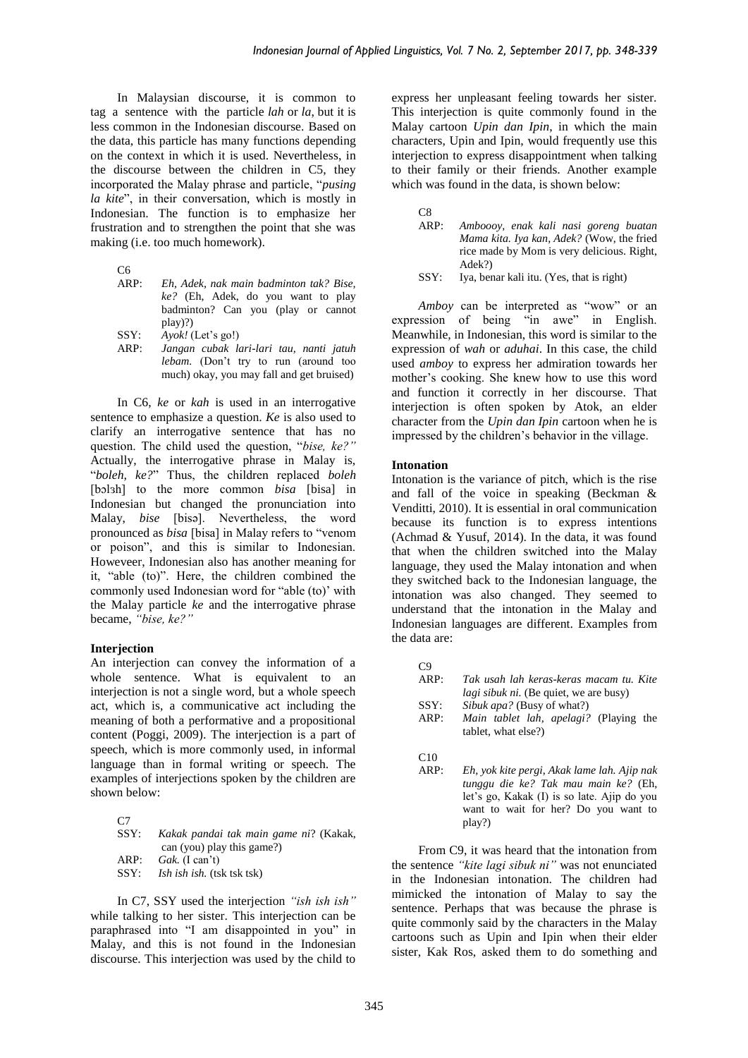In Malaysian discourse, it is common to tag a sentence with the particle *lah* or *la*, but it is less common in the Indonesian discourse. Based on the data, this particle has many functions depending on the context in which it is used. Nevertheless, in the discourse between the children in C5, they incorporated the Malay phrase and particle, "*pusing la kite*", in their conversation, which is mostly in Indonesian. The function is to emphasize her frustration and to strengthen the point that she was making (i.e. too much homework).

- C<sub>6</sub><br>ARP: ARP: *Eh, Adek, nak main badminton tak? Bise, ke?* (Eh, Adek, do you want to play badminton? Can you (play or cannot play)?)
- SSY: *Ayok!* (Let's go!)
- ARP: *Jangan cubak lari-lari tau, nanti jatuh lebam.* (Don't try to run (around too much) okay, you may fall and get bruised)

In C6, *ke* or *kah* is used in an interrogative sentence to emphasize a question. *Ke* is also used to clarify an interrogative sentence that has no question. The child used the question, "*bise, ke?"*  Actually, the interrogative phrase in Malay is, "*boleh, ke?*" Thus, the children replaced *boleh*  [bɔlɜh] to the more common *bisa* [bisa] in Indonesian but changed the pronunciation into Malay, *bise* [bisə]. Nevertheless, the word pronounced as *bisa* [bisa] in Malay refers to "venom or poison", and this is similar to Indonesian. Howeveer, Indonesian also has another meaning for it, "able (to)". Here, the children combined the commonly used Indonesian word for "able (to)' with the Malay particle *ke* and the interrogative phrase became, *"bise, ke?"*

#### **Interjection**

An interjection can convey the information of a whole sentence. What is equivalent to an interjection is not a single word, but a whole speech act, which is, a communicative act including the meaning of both a performative and a propositional content (Poggi, 2009). The interjection is a part of speech, which is more commonly used, in informal language than in formal writing or speech. The examples of interjections spoken by the children are shown below:

| C <sub>7</sub> |                                        |
|----------------|----------------------------------------|
| SSY:           | Kakak pandai tak main game ni? (Kakak, |
|                | can (you) play this game?)             |
| ARP:           | Gak. $(I can't)$                       |
| SSY:           | <i>Ish ish ish.</i> (tsk tsk tsk)      |
|                |                                        |

In C7, SSY used the interjection *"ish ish ish"* while talking to her sister. This interjection can be paraphrased into "I am disappointed in you" in Malay, and this is not found in the Indonesian discourse. This interjection was used by the child to

express her unpleasant feeling towards her sister. This interjection is quite commonly found in the Malay cartoon *Upin dan Ipin*, in which the main characters, Upin and Ipin, would frequently use this interjection to express disappointment when talking to their family or their friends. Another example which was found in the data, is shown below:

C8<br>ARP: ARP: *Amboooy, enak kali nasi goreng buatan Mama kita. Iya kan, Adek?* (Wow, the fried rice made by Mom is very delicious. Right, Adek?) SSY: Iya, benar kali itu. (Yes, that is right)

*Amboy* can be interpreted as "wow" or an expression of being "in awe" in English. Meanwhile, in Indonesian, this word is similar to the expression of *wah* or *aduhai*. In this case, the child used *amboy* to express her admiration towards her mother's cooking. She knew how to use this word and function it correctly in her discourse. That interjection is often spoken by Atok, an elder character from the *Upin dan Ipin* cartoon when he is impressed by the children's behavior in the village.

### **Intonation**

Intonation is the variance of pitch, which is the rise and fall of the voice in speaking (Beckman & Venditti, 2010). It is essential in oral communication because its function is to express intentions (Achmad & Yusuf, 2014). In the data, it was found that when the children switched into the Malay language, they used the Malay intonation and when they switched back to the Indonesian language, the intonation was also changed. They seemed to understand that the intonation in the Malay and Indonesian languages are different. Examples from the data are:

 $C9$ 

| ARP:        | Tak usah lah keras-keras macam tu. Kite                       |  |  |  |  |  |  |
|-------------|---------------------------------------------------------------|--|--|--|--|--|--|
|             | <i>lagi sibuk ni.</i> (Be quiet, we are busy)                 |  |  |  |  |  |  |
| SSY:        | <i>Sibuk apa?</i> (Busy of what?)                             |  |  |  |  |  |  |
| ARP:        | Main tablet lah, apelagi? (Playing the<br>tablet, what else?) |  |  |  |  |  |  |
| C10<br>ADD. | Eh vok kita parai. Akak lama lah Ajin nak-                    |  |  |  |  |  |  |

ARP: *Eh, yok kite pergi, Akak lame lah. Ajip nak tunggu die ke? Tak mau main ke?* (Eh, let's go, Kakak (I) is so late. Ajip do you want to wait for her? Do you want to play?)

From C9, it was heard that the intonation from the sentence *"kite lagi sibuk ni"* was not enunciated in the Indonesian intonation. The children had mimicked the intonation of Malay to say the sentence. Perhaps that was because the phrase is quite commonly said by the characters in the Malay cartoons such as Upin and Ipin when their elder sister, Kak Ros, asked them to do something and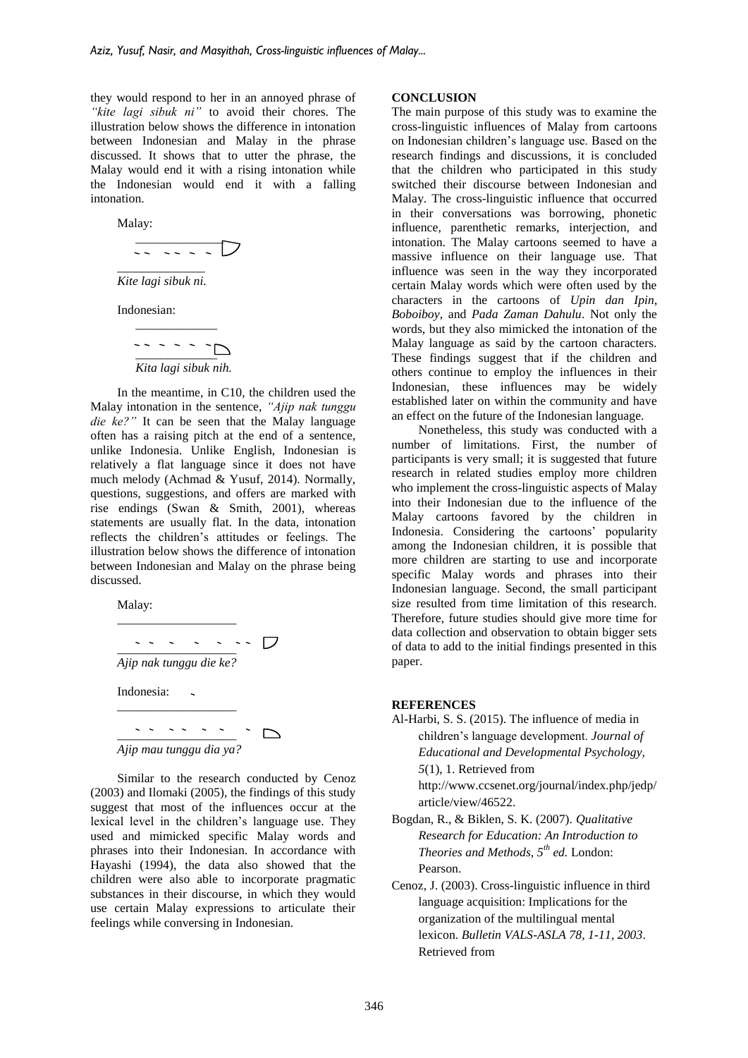they would respond to her in an annoyed phrase of *"kite lagi sibuk ni"* to avoid their chores. The illustration below shows the difference in intonation between Indonesian and Malay in the phrase discussed. It shows that to utter the phrase, the Malay would end it with a rising intonation while the Indonesian would end it with a falling intonation.

Malay:  
\n
$$
\frac{1}{\sqrt{1-\frac{1}{\sqrt{1-\frac{1}{\sqrt{1-\frac{1}{\sqrt{1-\frac{1}{\sqrt{1-\frac{1}{\sqrt{1-\frac{1}{\sqrt{1-\frac{1}{\sqrt{1-\frac{1}{\sqrt{1-\frac{1}{\sqrt{1-\frac{1}{\sqrt{1-\frac{1}{\sqrt{1-\frac{1}{\sqrt{1-\frac{1}{\sqrt{1-\frac{1}{\sqrt{1-\frac{1}{\sqrt{1-\frac{1}{\sqrt{1-\frac{1}{\sqrt{1-\frac{1}{\sqrt{1-\frac{1}{\sqrt{1-\frac{1}{\sqrt{1-\frac{1}{\sqrt{1-\frac{1}{\sqrt{1-\frac{1}{\sqrt{1-\frac{1}{\sqrt{1-\frac{1}{\sqrt{1-\frac{1}{\sqrt{1-\frac{1}{\sqrt{1-\frac{1}{\sqrt{1-\frac{1}{\sqrt{1-\frac{1}{\sqrt{1-\frac{1}{\sqrt{1-\frac{1}{\sqrt{1-\frac{1}{\sqrt{1-\frac{1}{\sqrt{1-\frac{1}{\sqrt{1-\frac{1}{\sqrt{1-\frac{1}{\sqrt{1-\frac{1}{\sqrt{1-\frac{1}{\sqrt{1-\frac{1}{\sqrt{1-\frac{1}{\sqrt{1-\frac{1}{\sqrt{1-\frac{1}{\sqrt{1-\frac{1}{\sqrt{1-\frac{1}{\sqrt{1-\frac{1}{\sqrt{1-\frac{1}{\sqrt{1-\frac{1}{\sqrt{1-\frac{1}{\sqrt{1-\frac{1}{\sqrt{1-\frac{1}{\sqrt{1-\frac{1}{\sqrt{1-\frac{1}{\sqrt{1-\frac{1}{\sqrt{1-\frac{1}{\sqrt{1-\frac{1}{\sqrt{1-\frac{1}{\sqrt{1-\frac{1}{\sqrt{1-\frac{1}{\sqrt{1-\frac{1}{\sqrt{1-\frac{1}{\sqrt{1-\frac{1}{\sqrt{1-\frac{1}{\sqrt{1-\frac{1}{\sqrt{1-\frac{1}{\sqrt{1-\frac{1}{\sqrt{1-\frac{1}{\sqrt{1+\frac{1}{\sqrt{1+\frac{1}{\sqrt{1+\frac{1}{\sqrt{1+\frac{1}{\sqrt{1+\frac{1}{\sqrt{1+\frac{1}{\sqrt{1+\frac{1}{\sqrt{1+\frac{1}{\sqrt{1+\frac{1}{\sqrt{1+\frac{1}{\sqrt{1+\frac{1}{\sqrt{1+\frac{1}{1\sqrt{11\sqrt{11\{1\frac{1\sqrt{11\{1\frac{1}{\sqrt{11\{
$$

Indonesian:

$$
\frac{1}{\text{Kita lagi sibuk nih.}}
$$

\_\_\_\_\_\_\_\_\_\_\_\_\_

In the meantime, in C10, the children used the Malay intonation in the sentence, *"Ajip nak tunggu die ke?"* It can be seen that the Malay language often has a raising pitch at the end of a sentence, unlike Indonesia. Unlike English, Indonesian is relatively a flat language since it does not have much melody (Achmad & Yusuf, 2014). Normally, questions, suggestions, and offers are marked with rise endings (Swan & Smith, 2001), whereas statements are usually flat. In the data, intonation reflects the children's attitudes or feelings. The illustration below shows the difference of intonation between Indonesian and Malay on the phrase being discussed.

Malay:

\_\_\_\_\_\_\_\_\_\_\_\_\_\_\_\_\_\_\_ \_\_\_\_\_\_\_\_\_\_\_\_\_\_\_\_\_\_\_ *Ajip nak tunggu die ke?* Indonesia: \_\_\_\_\_\_\_\_\_\_\_\_\_\_\_\_\_\_\_ \_\_\_\_\_\_\_\_\_\_\_\_\_\_\_\_\_\_\_ *Ajip mau tunggu dia ya?*

Similar to the research conducted by Cenoz (2003) and Ilomaki (2005), the findings of this study suggest that most of the influences occur at the lexical level in the children's language use. They used and mimicked specific Malay words and phrases into their Indonesian. In accordance with Hayashi (1994), the data also showed that the children were also able to incorporate pragmatic substances in their discourse, in which they would use certain Malay expressions to articulate their feelings while conversing in Indonesian.

#### **CONCLUSION**

The main purpose of this study was to examine the cross-linguistic influences of Malay from cartoons on Indonesian children's language use. Based on the research findings and discussions, it is concluded that the children who participated in this study switched their discourse between Indonesian and Malay. The cross-linguistic influence that occurred in their conversations was borrowing, phonetic influence, parenthetic remarks, interjection, and intonation. The Malay cartoons seemed to have a massive influence on their language use. That influence was seen in the way they incorporated certain Malay words which were often used by the characters in the cartoons of *Upin dan Ipin*, *Boboiboy*, and *Pada Zaman Dahulu*. Not only the words, but they also mimicked the intonation of the Malay language as said by the cartoon characters. These findings suggest that if the children and others continue to employ the influences in their Indonesian, these influences may be widely established later on within the community and have an effect on the future of the Indonesian language.

Nonetheless, this study was conducted with a number of limitations. First, the number of participants is very small; it is suggested that future research in related studies employ more children who implement the cross-linguistic aspects of Malay into their Indonesian due to the influence of the Malay cartoons favored by the children in Indonesia. Considering the cartoons' popularity among the Indonesian children, it is possible that more children are starting to use and incorporate specific Malay words and phrases into their Indonesian language. Second, the small participant size resulted from time limitation of this research. Therefore, future studies should give more time for data collection and observation to obtain bigger sets of data to add to the initial findings presented in this paper.

#### **REFERENCES**

- Al-Harbi, S. S. (2015). The influence of media in children's language development. *Journal of Educational and Developmental Psychology, 5*(1), 1. Retrieved from [http://www.ccsenet.org/journal/index.php/jedp/](http://www.ccsenet.org/journal/index.php/jedp/article/view/46522) [article/view/46522.](http://www.ccsenet.org/journal/index.php/jedp/article/view/46522)
- Bogdan, R., & Biklen, S. K. (2007). *Qualitative Research for Education: An Introduction to Theories and Methods, 5th ed.* London: Pearson.
- Cenoz, J. (2003). Cross*-*linguistic influence in third language acquisition: Implications for the organization of the multilingual mental lexicon. *Bulletin VALS-ASLA 78, 1-11, 2003*. Retrieved from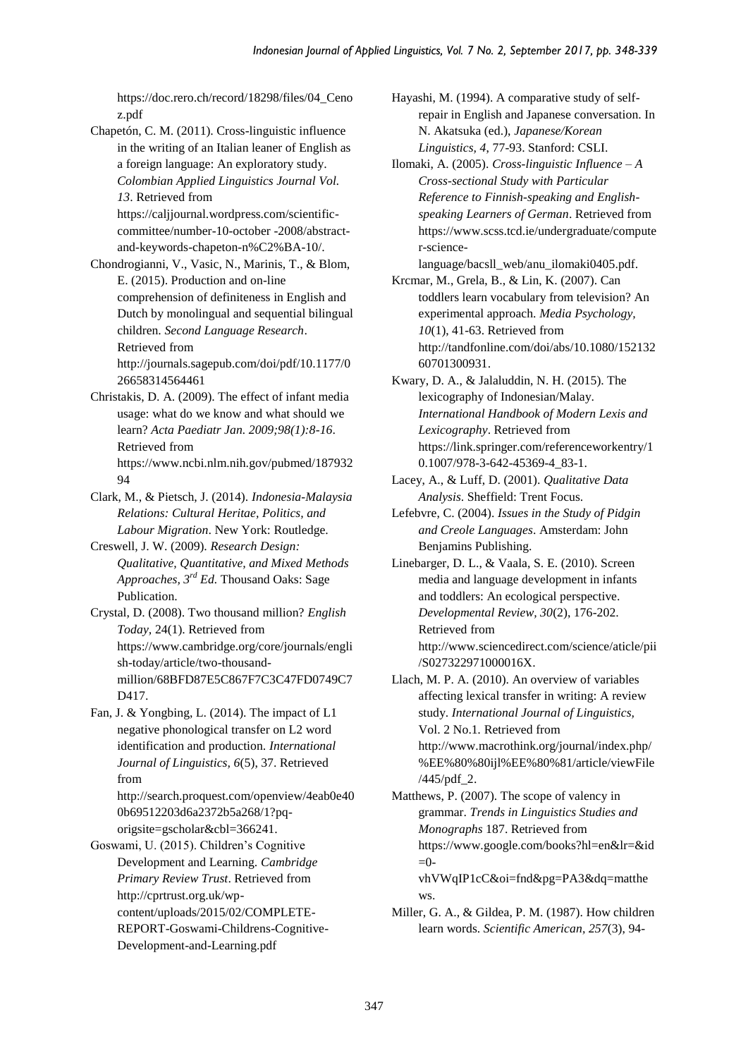[https://doc.rero.ch/record/18298/files/04\\_Ceno](https://doc.rero.ch/record/18298/files/04_Cenoz.pdf) [z.pdf](https://doc.rero.ch/record/18298/files/04_Cenoz.pdf)

Chapetón, C. M. (2011). Cross-linguistic influence in the writing of an Italian leaner of English as a foreign language: An exploratory study. *Colombian Applied Linguistics Journal Vol. 13*. Retrieved from

https://caljjournal.wordpress.com/scientificcommittee/number-10-october -2008/abstractand-keywords-chapeton-n%C2%BA-10/.

Chondrogianni, V., Vasic, N., Marinis, T., & Blom, E. (2015). Production and on-line comprehension of definiteness in English and Dutch by monolingual and sequential bilingual children. *Second Language Research*. Retrieved from

> [http://journals.sagepub.com/doi/pdf/10.1177/0](http://journals.sagepub.com/doi/pdf/10.1177/026658314564461) [26658314564461](http://journals.sagepub.com/doi/pdf/10.1177/026658314564461)

Christakis, D. A. (2009). The effect of infant media usage: what do we know and what should we learn? *Acta Paediatr Jan. 2009;98(1):8-16*. Retrieved from [https://www.ncbi.nlm.nih.gov/pubmed/187932](https://www.ncbi.nlm.nih.gov/pubmed/18793294) [94](https://www.ncbi.nlm.nih.gov/pubmed/18793294)

- Clark, M., & Pietsch, J. (2014). *Indonesia-Malaysia Relations: Cultural Heritae, Politics, and Labour Migration*. New York: Routledge.
- Creswell, J. W. (2009). *Research Design: Qualitative, Quantitative, and Mixed Methods Approaches, 3rd Ed.* Thousand Oaks: Sage Publication.

Crystal, D. (2008). Two thousand million? *English Today,* 24(1). Retrieved from [https://www.cambridge.org/core/journals/engli](https://www.cambridge.org/core/journals/english-today/article/two-thousand-million/68BFD87E5C867F7C3C47FD0749C7D417) [sh-today/article/two-thousand](https://www.cambridge.org/core/journals/english-today/article/two-thousand-million/68BFD87E5C867F7C3C47FD0749C7D417)[million/68BFD87E5C867F7C3C47FD0749C7](https://www.cambridge.org/core/journals/english-today/article/two-thousand-million/68BFD87E5C867F7C3C47FD0749C7D417) D<sub>417</sub>.

Fan, J. & Yongbing, L. (2014). The impact of L1 negative phonological transfer on L2 word identification and production. *International Journal of Linguistics, 6*(5), 37. Retrieved from

> [http://search.proquest.com/openview/4eab0e40](http://search.proquest.com/openview/4eab0e400b69512203d6a2372b5a268/1?pq-origsite=gscholar&cbl=366241) [0b69512203d6a2372b5a268/1?pq](http://search.proquest.com/openview/4eab0e400b69512203d6a2372b5a268/1?pq-origsite=gscholar&cbl=366241)[origsite=gscholar&cbl=366241.](http://search.proquest.com/openview/4eab0e400b69512203d6a2372b5a268/1?pq-origsite=gscholar&cbl=366241)

Goswami, U. (2015). Children's Cognitive Development and Learning. *Cambridge Primary Review Trust*. Retrieved from [http://cprtrust.org.uk/wp](http://cprtrust.org.uk/wp-content/uploads/2015/02/COMPLETE-REPORT-Goswami-Childrens-Cognitive-Development-and-Learning.pdf)[content/uploads/2015/02/COMPLETE-](http://cprtrust.org.uk/wp-content/uploads/2015/02/COMPLETE-REPORT-Goswami-Childrens-Cognitive-Development-and-Learning.pdf)[REPORT-Goswami-Childrens-Cognitive-](http://cprtrust.org.uk/wp-content/uploads/2015/02/COMPLETE-REPORT-Goswami-Childrens-Cognitive-Development-and-Learning.pdf)[Development-and-Learning.pdf](http://cprtrust.org.uk/wp-content/uploads/2015/02/COMPLETE-REPORT-Goswami-Childrens-Cognitive-Development-and-Learning.pdf)

Hayashi, M. (1994). A comparative study of selfrepair in English and Japanese conversation. In N. Akatsuka (ed.), *Japanese/Korean Linguistics, 4*, 77-93. Stanford: CSLI.

Ilomaki, A. (2005). *Cross-linguistic Influence – A Cross-sectional Study with Particular Reference to Finnish-speaking and Englishspeaking Learners of German*. Retrieved from [https://www.scss.tcd.ie/undergraduate/compute](https://www.scss.tcd.ie/undergraduate/computer-science-language/bacsll_web/anu_ilomaki0405.pdf) [r-science-](https://www.scss.tcd.ie/undergraduate/computer-science-language/bacsll_web/anu_ilomaki0405.pdf)

[language/bacsll\\_web/anu\\_ilomaki0405.pdf.](https://www.scss.tcd.ie/undergraduate/computer-science-language/bacsll_web/anu_ilomaki0405.pdf) Krcmar, M., Grela, B., & Lin, K. (2007). Can toddlers learn vocabulary from television? An experimental approach. *Media Psychology, 10*(1), 41-63. Retrieved from [http://tandfonline.com/doi/abs/10.1080/152132](http://tandfonline.com/doi/abs/10.1080/15213260701300931) [60701300931.](http://tandfonline.com/doi/abs/10.1080/15213260701300931)

Kwary, D. A., & Jalaluddin, N. H. (2015). The lexicography of Indonesian/Malay. *International Handbook of Modern Lexis and Lexicography*. Retrieved from [https://link.springer.com/referenceworkentry/1](https://link.springer.com/referenceworkentry/10.1007/978-3-642-45369-4_83-1) [0.1007/978-3-642-45369-4\\_83-1.](https://link.springer.com/referenceworkentry/10.1007/978-3-642-45369-4_83-1)

Lacey, A., & Luff, D. (2001). *Qualitative Data Analysis*. Sheffield: Trent Focus.

Lefebvre, C. (2004). *Issues in the Study of Pidgin and Creole Languages*. Amsterdam: John Benjamins Publishing.

Linebarger, D. L., & Vaala, S. E. (2010). Screen media and language development in infants and toddlers: An ecological perspective. *Developmental Review, 30*(2), 176-202. Retrieved from [http://www.sciencedirect.com/science/aticle/pii](http://www.sciencedirect.com/science/aticle/pii/S027322971000016X) [/S027322971000016X.](http://www.sciencedirect.com/science/aticle/pii/S027322971000016X)

Llach, M. P. A. (2010). An overview of variables affecting lexical transfer in writing: A review study. *International Journal of Linguistics,*  Vol. 2 No.1*.* Retrieved from [http://www.macrothink.org/journal/index.php/](http://www.macrothink.org/journal/index.php/%EE%80%80ijl%EE%80%81/article/viewFile/445/pdf_2) [%EE%80%80ijl%EE%80%81/article/viewFile](http://www.macrothink.org/journal/index.php/%EE%80%80ijl%EE%80%81/article/viewFile/445/pdf_2) [/445/pdf\\_2.](http://www.macrothink.org/journal/index.php/%EE%80%80ijl%EE%80%81/article/viewFile/445/pdf_2)

Matthews, P. (2007). The scope of valency in grammar. *Trends in Linguistics Studies and Monographs* 187. Retrieved from https://www.google.com/books?hl=en&lr=&id  $=0$ vhVWqIP1cC&oi=fnd&pg=PA3&dq=matthe

ws.

Miller, G. A., & Gildea, P. M. (1987). How children learn words. *Scientific American, 257*(3), 94